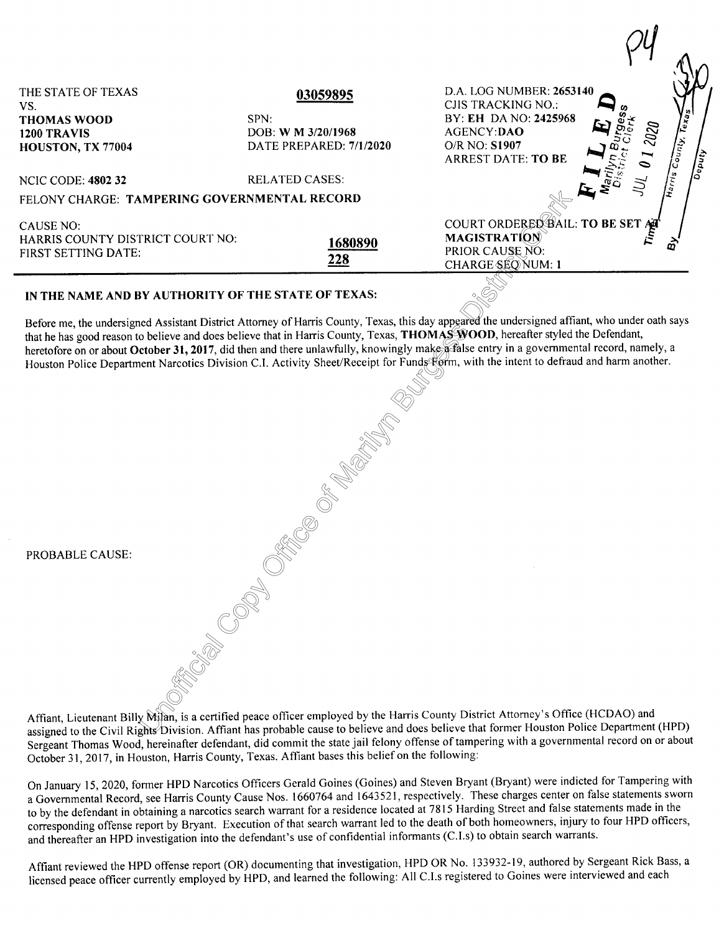| THE STATE OF TEXAS<br>VS.                           | 03059895                | D.A. LOG NUMBER: 2653140<br>CJIS TRACKING NO.:                                                                                                 |
|-----------------------------------------------------|-------------------------|------------------------------------------------------------------------------------------------------------------------------------------------|
| <b>THOMAS WOOD</b>                                  | SPN:                    | Texas<br>BY: EH DA NO: 2425968                                                                                                                 |
| 1200 TRAVIS                                         | DOB: W M 3/20/1968      | 2020<br><b>AGENCY:DAO</b>                                                                                                                      |
| HOUSTON, TX 77004                                   | DATE PREPARED: 7/1/2020 | O/R NO: S1907                                                                                                                                  |
|                                                     |                         | $\int_{C}$<br>Deputy<br><b>ARREST DATE: TO BE</b>                                                                                              |
| <b>NCIC CODE: 4802 32</b>                           | <b>RELATED CASES:</b>   | $\sqrt{\frac{2}{n}}$                                                                                                                           |
| FELONY CHARGE: TAMPERING GOVERNMENTAL RECORD        |                         |                                                                                                                                                |
| CAUSE NO:<br>HARRIS COUNTY DISTRICT COURT NO:       |                         | COURT ORDERED BAIL: TO BE SET AT<br><b>MAGISTRATION</b>                                                                                        |
|                                                     | 1680890                 | PRIOR CAUSE NO:                                                                                                                                |
| FIRST SETTING DATE:                                 | 228                     | <b>CHARGE SEONUM: 1</b>                                                                                                                        |
| IN THE NAME AND BY AUTHORITY OF THE STATE OF TEXAS: |                         |                                                                                                                                                |
|                                                     |                         | Before me, the undersigned Assistant District Attorney of Harris County, Texas, this day appeared the undersigned affiant, who under oath says |

## **IN THE NAME AND BY AUTHORITY OF THE STATE OF TEXAS:**

Before me, the undersigned Assistant District Attorney of Harris County, Texas, this day  $\frac{dy}{d\theta}$  COD, hereafter styled the Defendant, heretofore on or about October 31, 2017, did then and there unlawfully, knowingly ma heretofore on or about October 31, 2017, did then and there unlawfully, knowingly make a false entry in a governmental record, namely, a Houston Police Department Narcotics Division C.I. Activity Sheet/Receipt for Funds Form, with the intent to defraud and harm another.

|                 | $\mathbb{N}^\mathbb{Z}$                                                                                                                                                                                        |
|-----------------|----------------------------------------------------------------------------------------------------------------------------------------------------------------------------------------------------------------|
|                 | ER ET                                                                                                                                                                                                          |
|                 | See OKS Company                                                                                                                                                                                                |
|                 |                                                                                                                                                                                                                |
| PROBABLE CAUSE: |                                                                                                                                                                                                                |
|                 |                                                                                                                                                                                                                |
|                 |                                                                                                                                                                                                                |
|                 |                                                                                                                                                                                                                |
|                 | Affiant, Lieutenant Billy Milan, is a certified peace officer employed by the Harris County Di<br>assigned to the Civil Rights <sup>2</sup> Division. Affiant has probable cause to believe and does believe t |

Affiant, Lieutenant Billy Milan, is a certified peace officer employed by the Harris County District Attorney's Office (HCDAO) and assigned to the Civil Rights Division. Affiant has probable cause to believe and does believe that former Houston Police Department (HPD) Sergeant Thomas Wood, hereinafter defendant, did commit the state jail felony offense of tampering with a governmental record on or about October 31, 2017, in Houston, Harris County, Texas. Affiant bases this belief on the following:

On January 15, 2020, former HPD Narcotics Officers Gerald Goines (Goines) and Steven Bryant (Bryant) were indicted for Tampering with a Governmental Record, see Harris County Cause Nos. 1660764 and 1643521, respectively. These charges center on false statements sworn to by the defendant in obtaining a narcotics search warrant for a residence located at 7815 Harding Street and false statements made in the corresponding offense report by Bryant. Execution of that search warrant led to the death of both homeowners, injury to four HPD officers, and thereafter an HPD investigation into the defendant's use of confidential informants (C.I.s) to obtain search warrants.

Affiant reviewed the HPD offense report (OR) documenting that investigation, HPD OR No. 133932-19, authored by Sergeant Rick Bass, a licensed peace officer currently employed by HPD, and learned the following: All C.I.s registered to Goines were interviewed and each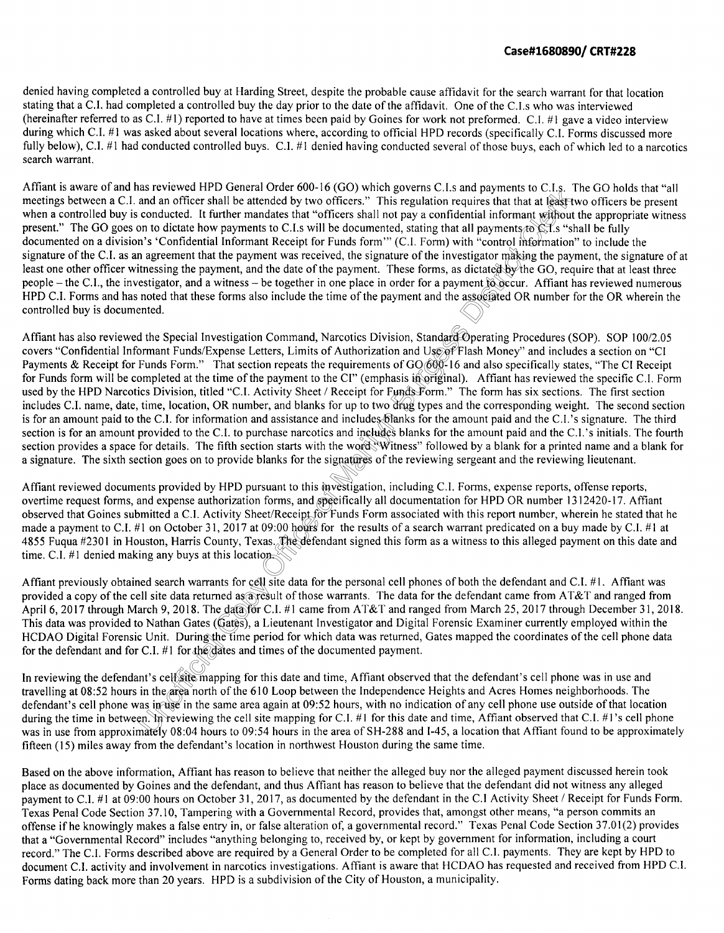denied having completed a controlled buy at Harding Street, despite the probable cause affidavit for the search warrant for that location stating that a C.I. had completed a controlled buy the day prior to the date of the affidavit. One of the C.I.s who was interviewed (hereinafter referred to as C.I. #1) reported to have at times been paid by Goines for work not preformed. C.I. #1 gave a video interview during which C.I. #1 was asked about several locations where, according to official HPD records (specifically C.I. Forms discussed more fully below), C.I. #1 had conducted controlled buys. C.I. #1 denied having conducted several of those buys, each of which led to a narcotics search warrant.

estigator making<br>dictated by the<br>ment to occur.<br>associated OR ts to C.I.s. 1<br>hat at least tv<br>nant without<br>is to C.I.s "sh<br>information" Affiant is aware of and has reviewed HPD General Order 600-16 (GO) which governs C.I.s and payments to C.I.s. The GO holds that "all meetings between a C.I. and an officer shall be attended by two officers." This regulation requires that that at least two officers be present when a controlled buy is conducted. It further mandates that "officers shall not pay a confidential informant without the appropriate witness present." The GO goes on to dictate how payments to C.I.s will be documented, stating that all payments to C.I.s "shall be fully documented on a division's 'Confidential Informant Receipt for Funds form"' (C.I. Form) with "control information" to include the signature of the C.I. as an agreement that the payment was received, the signature of the investigator making the payment, the signature of at least one other officer witnessing the payment, and the date of the payment. These forms, as dictated by the GO, require that at least three people - the C.I., the investigator, and a witness - be together in one place in order for a payment to occur. Affiant has reviewed numerous HPD C.I. Forms and has noted that these forms also include the time of the payment and the associated OR number for the OR wherein the controlled buy is documented.

nd includes bland<br>Sand includes b<br>the word Witne<br>ignatures of the<br>vestigation, incl Affiant has also reviewed the Special Investigation Command, Narcotics Division, Standard Operating Procedures (SOP). SOP 100/2.05 covers "Confidential Informant Funds/Expense Letters, Limits of Authorization and Use of Fl covers "Confidential Informant Funds/Expense Letters, Limits of Authorization and Use of Flash Money" and includes a section on "CI Payments & Receipt for Funds Form." That section repeats the requirements of GO 600-16 and also specifically states, "The CI Receipt for Funds form will be completed at the time of the payment to the CI" (emphasis in original). Affiant has reviewed the specific C.I. Form used by the HPD Narcotics Division, titled "C.I. Activity Sheet / Receipt for Funds Form." The form has six sections. The first section includes C.I. name, date, time, location, OR number, and blanks for up to two drug types and the corresponding weight. The second section is for an amount paid to the C.I. for information and assistance and includes blanks for the amount paid and the C.I. 's signature. The third section is for an amount provided to the C.I. to purchase narcotics and includes blanks for the amount paid and the C.I. 's initials. The fourth section provides a space for details. The fifth section starts with the word "Witness" followed by a blank for a printed name and a blank for a signature. The sixth section goes on to provide blanks for the signatures of the reviewing sergeant and the reviewing lieutenant.

observed that Golles submitted a C.I. Activity sheet Receipt for Funds Form associated with this report humber, wherein he stated that h<br>made a payment to C.I. #1 on October 31, 2017 at 09:00 hours for the results of a sea s mves<br>specif<br>for Fur Affiant reviewed documents provided by HPD pursuant to this investigation, including C.I. Forms, expense reports, offense reports, overtime request forms, and expense authorization forms, and specifically all documentation for HPD OR number 1312420-17. Affiant observed that Goines submitted a C.I. Activity Sheet/Receipt for Funds Form associated with this report number, wherein he stated that he 4855 Fuqua #2301 in Houston, Harris County, Texas. The defendant signed this form as a witness to this alleged payment on this date and time. C.I. #1 denied making any buys at this location.

nts for cell si<br>ned as a resu<br>le data for C.<br>(Cates), a Lie<br>he time neric Affiant previously obtained search warrants for cell site data for the personal cell phones of both the defendant and C.I. #I. Affiant was provided a copy of the cell site data returned as a result of those warrants. The data for the defendant came from AT&T and ranged from April 6, 2017 through March 9, 2018. The data for C.I. #1 came from AT&T and ranged from March 25, 2017 through December 31, 2018. This data was provided to Nathan Gates (Gates), a Lieutenant Investigator and Digital Forensic Examiner currently employed within the HCDAO Digital Forensic Unit. During the time period for which data was returned, Gates mapped the coordinates of the cell phone data for the defendant and for C.I. #1 for the dates and times of the documented payment.

c Unit. During the<br>C.I. #1 for the date<br>nt's cell site mappi<br>in the area north of<br>as in use in the same<br>n. In reviewing the<br>nately 08:04 hours In reviewing the defendant's cell site mapping for this date and time, Affiant observed that the defendant's cell phone was in use and travelling at 08:52 hours in the area north of the 610 Loop between the Independence Heights and Acres Homes neighborhoods. The defendant's cell phone was in use in the same area again at  $09:52$  hours, with no indication of any cell phone use outside of that location during the time in between. In reviewing the cell site mapping for C.I. #1 for this date and time, Affiant observed that C.I. #1's cell phone was in use from approximately 08:04 hours to 09:54 hours in the area of SH-288 and 1-45, a location that Affiant found to be approximately fifteen (15) miles away from the defendant's location in northwest Houston during the same time.

Based on the above information, Affiant has reason to believe that neither the alleged buy nor the alleged payment discussed herein took place as documented by Goines and the defendant, and thus Affiant has reason to believe that the defendant did not witness any alleged payment to C.I. #1 at 09:00 hours on October 31, 2017, as documented by the defendant in the C.I Activity Sheet / Receipt for Funds Form. Texas Penal Code Section 37.10, Tampering with a Governmental Record, provides that, amongst other means, "a person commits an offense ifhe knowingly makes a false entry in, or false alteration of, a governmental record." Texas Penal Code Section 37.01(2) provides that a "Governmental Record" includes "anything belonging to, received by, or kept by government for information, including a court record." The C.I. Forms described above are required by a General Order to be completed for all C.I. payments. They are kept by HPD to document C.I. activity and involvement in narcotics investigations. Affiant is aware that HCDAO has requested and received from HPD C.I. Forms dating back more than 20 years. HPD is a subdivision of the City of Houston, a municipality.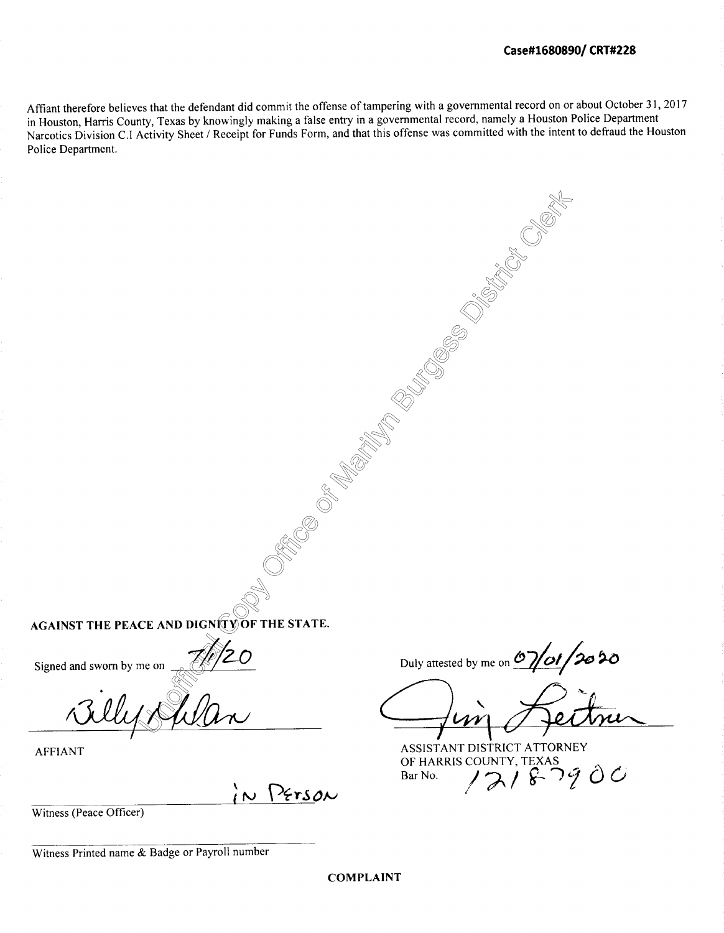Clerk Clerk

Affiant therefore believes that the defendant did commit the offense of tampering with a governmental record on or about October 31, 2017 in Houston, Harris County, Texas by knowingly making a false entry in a governmental record, namely a Houston Police Department Narcotics Division C.I Activity Sheet/ Receipt for Funds Form, and that this offense was committed with the intent to defraud the Houston Police Department.

**AGAINST THE PEACE AND DIGNITY OF THE STATE.** 

Signed and sworn by me on

ne on <del>19</del>

AFFIANT

IN PETSON

Office C

of-

Mari<br>Historia<br>Historia

Burges<br>Participation<br>Participation

Diss<sub>tric</sub>t Strict Strict Strict Strict Strict Strict Strict Strict Strict Strict Strict Strict Strict Strict Strict Strict Strict Strict Strict Strict Strict Strict Strict Strict Strict Strict Strict Strict Strict Strict

Witness (Peace Officer)

Witness Printed name & Badge or Payroll number

Duly attested by me on **07/01/2020** 

ASSISTANT DISTRICT ATTORNEY OF HARRIS COUNTY, TEXAS<br>Bar No.  $\bigwedge$   $\bigwedge$   $\bigwedge$   $\bigwedge$   $\bigwedge$   $\bigwedge$   $\bigwedge$